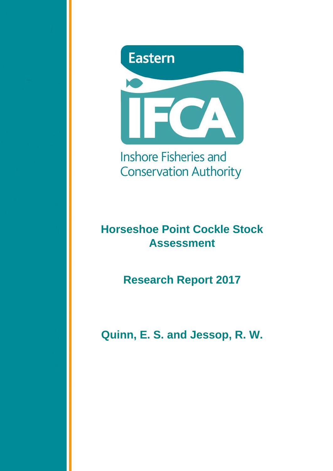

Inshore Fisheries and **Conservation Authority** 

# **Horseshoe Point Cockle Stock Assessment**

**Research Report 2017**

**Quinn, E. S. and Jessop, R. W.**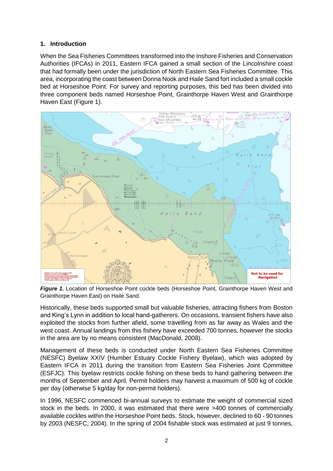## **1. Introduction**

When the Sea Fisheries Committees transformed into the Inshore Fisheries and Conservation Authorities (IFCAs) in 2011, Eastern IFCA gained a small section of the Lincolnshire coast that had formally been under the jurisdiction of North Eastern Sea Fisheries Committee. This area, incorporating the coast between Donna Nook and Haile Sand fort included a small cockle bed at Horseshoe Point. For survey and reporting purposes, this bed has been divided into three component beds named Horseshoe Point, Grainthorpe Haven West and Grainthorpe Haven East (Figure 1).



*Figure 1.* Location of Horseshoe Point cockle beds (Horseshoe Point, Grainthorpe Haven West and Grainthorpe Haven East) on Haile Sand.

Historically, these beds supported small but valuable fisheries, attracting fishers from Boston and King's Lynn in addition to local hand-gatherers. On occasions, transient fishers have also exploited the stocks from further afield, some travelling from as far away as Wales and the west coast. Annual landings from this fishery have exceeded 700 tonnes, however the stocks in the area are by no means consistent (MacDonald, 2008).

Management of these beds is conducted under North Eastern Sea Fisheries Committee (NESFC) Byelaw XXIV (Humber Estuary Cockle Fishery Byelaw), which was adopted by Eastern IFCA in 2011 during the transition from Eastern Sea Fisheries Joint Committee (ESFJC). This byelaw restricts cockle fishing on these beds to hand gathering between the months of September and April. Permit holders may harvest a maximum of 500 kg of cockle per day (otherwise 5 kg/day for non-permit holders).

In 1996, NESFC commenced bi-annual surveys to estimate the weight of commercial sized stock in the beds. In 2000, it was estimated that there were >400 tonnes of commercially available cockles within the Horseshoe Point beds. Stock, however, declined to 60 - 90 tonnes by 2003 (NESFC, 2004). In the spring of 2004 fishable stock was estimated at just 9 tonnes,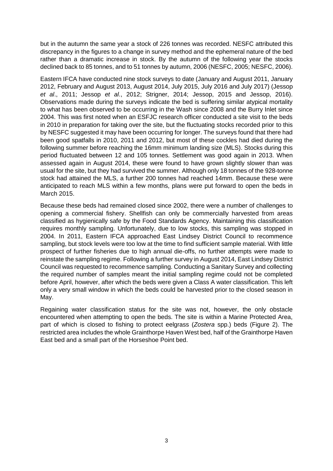but in the autumn the same year a stock of 226 tonnes was recorded. NESFC attributed this discrepancy in the figures to a change in survey method and the ephemeral nature of the bed rather than a dramatic increase in stock. By the autumn of the following year the stocks declined back to 85 tonnes, and to 51 tonnes by autumn, 2006 (NESFC, 2005; NESFC, 2006).

Eastern IFCA have conducted nine stock surveys to date (January and August 2011, January 2012, February and August 2013, August 2014, July 2015, July 2016 and July 2017) (Jessop *et al*., 2011; Jessop *et al*., 2012; Strigner, 2014; Jessop, 2015 and Jessop, 2016). Observations made during the surveys indicate the bed is suffering similar atypical mortality to what has been observed to be occurring in the Wash since 2008 and the Burry Inlet since 2004. This was first noted when an ESFJC research officer conducted a site visit to the beds in 2010 in preparation for taking over the site, but the fluctuating stocks recorded prior to this by NESFC suggested it may have been occurring for longer. The surveys found that there had been good spatfalls in 2010, 2011 and 2012, but most of these cockles had died during the following summer before reaching the 16mm minimum landing size (MLS). Stocks during this period fluctuated between 12 and 105 tonnes. Settlement was good again in 2013. When assessed again in August 2014, these were found to have grown slightly slower than was usual for the site, but they had survived the summer. Although only 18 tonnes of the 928-tonne stock had attained the MLS, a further 200 tonnes had reached 14mm. Because these were anticipated to reach MLS within a few months, plans were put forward to open the beds in March 2015.

Because these beds had remained closed since 2002, there were a number of challenges to opening a commercial fishery. Shellfish can only be commercially harvested from areas classified as hygienically safe by the Food Standards Agency. Maintaining this classification requires monthly sampling. Unfortunately, due to low stocks, this sampling was stopped in 2004. In 2011, Eastern IFCA approached East Lindsey District Council to recommence sampling, but stock levels were too low at the time to find sufficient sample material. With little prospect of further fisheries due to high annual die-offs, no further attempts were made to reinstate the sampling regime. Following a further survey in August 2014, East Lindsey District Council was requested to recommence sampling. Conducting a Sanitary Survey and collecting the required number of samples meant the initial sampling regime could not be completed before April, however, after which the beds were given a Class A water classification. This left only a very small window in which the beds could be harvested prior to the closed season in May.

Regaining water classification status for the site was not, however, the only obstacle encountered when attempting to open the beds. The site is within a Marine Protected Area, part of which is closed to fishing to protect eelgrass (*Zostera* spp.) beds (Figure 2). The restricted area includes the whole Grainthorpe Haven West bed, half of the Grainthorpe Haven East bed and a small part of the Horseshoe Point bed.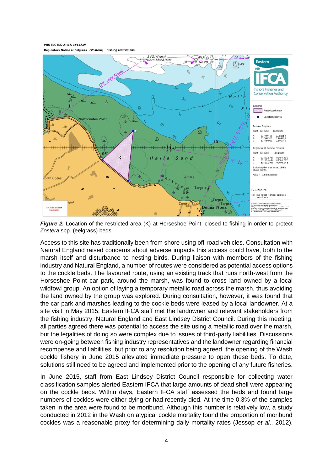PROTECTED AREA BYELAW

Regulatory Notice 4: Eelgrass (Zostera) - Fishing restriction



*Figure 2.* Location of the restricted area (K) at Horseshoe Point, closed to fishing in order to protect *Zostera* spp. (eelgrass) beds.

Access to this site has traditionally been from shore using off-road vehicles. Consultation with Natural England raised concerns about adverse impacts this access could have, both to the marsh itself and disturbance to nesting birds. During liaison with members of the fishing industry and Natural England, a number of routes were considered as potential access options to the cockle beds. The favoured route, using an existing track that runs north-west from the Horseshoe Point car park, around the marsh, was found to cross land owned by a local wildfowl group. An option of laying a temporary metallic road across the marsh, thus avoiding the land owned by the group was explored. During consultation, however, it was found that the car park and marshes leading to the cockle beds were leased by a local landowner. At a site visit in May 2015, Eastern IFCA staff met the landowner and relevant stakeholders from the fishing industry, Natural England and East Lindsey District Council. During this meeting, all parties agreed there was potential to access the site using a metallic road over the marsh, but the legalities of doing so were complex due to issues of third-party liabilities. Discussions were on-going between fishing industry representatives and the landowner regarding financial recompense and liabilities, but prior to any resolution being agreed, the opening of the Wash cockle fishery in June 2015 alleviated immediate pressure to open these beds. To date, solutions still need to be agreed and implemented prior to the opening of any future fisheries.

In June 2015, staff from East Lindsey District Council responsible for collecting water classification samples alerted Eastern IFCA that large amounts of dead shell were appearing on the cockle beds. Within days, Eastern IFCA staff assessed the beds and found large numbers of cockles were either dying or had recently died. At the time 0.3% of the samples taken in the area were found to be moribund. Although this number is relatively low, a study conducted in 2012 in the Wash on atypical cockle mortality found the proportion of moribund cockles was a reasonable proxy for determining daily mortality rates (Jessop *et al*., 2012).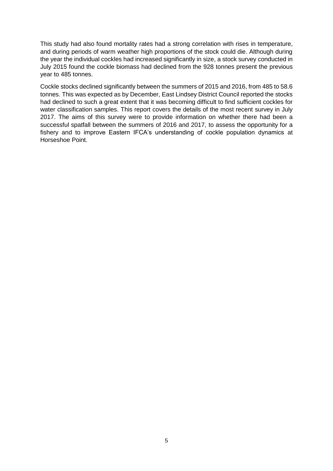This study had also found mortality rates had a strong correlation with rises in temperature, and during periods of warm weather high proportions of the stock could die. Although during the year the individual cockles had increased significantly in size, a stock survey conducted in July 2015 found the cockle biomass had declined from the 928 tonnes present the previous year to 485 tonnes.

Cockle stocks declined significantly between the summers of 2015 and 2016, from 485 to 58.6 tonnes. This was expected as by December, East Lindsey District Council reported the stocks had declined to such a great extent that it was becoming difficult to find sufficient cockles for water classification samples. This report covers the details of the most recent survey in July 2017. The aims of this survey were to provide information on whether there had been a successful spatfall between the summers of 2016 and 2017, to assess the opportunity for a fishery and to improve Eastern IFCA's understanding of cockle population dynamics at Horseshoe Point.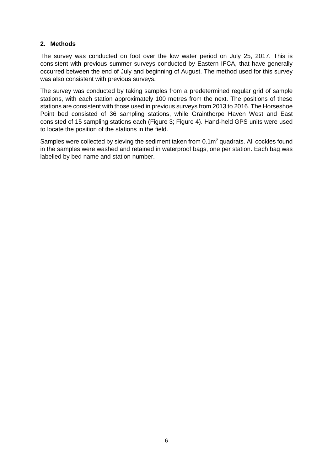### **2. Methods**

The survey was conducted on foot over the low water period on July 25, 2017. This is consistent with previous summer surveys conducted by Eastern IFCA, that have generally occurred between the end of July and beginning of August. The method used for this survey was also consistent with previous surveys.

The survey was conducted by taking samples from a predetermined regular grid of sample stations, with each station approximately 100 metres from the next. The positions of these stations are consistent with those used in previous surveys from 2013 to 2016. The Horseshoe Point bed consisted of 36 sampling stations, while Grainthorpe Haven West and East consisted of 15 sampling stations each (Figure 3; Figure 4). Hand-held GPS units were used to locate the position of the stations in the field.

Samples were collected by sieving the sediment taken from 0.1m<sup>2</sup> quadrats. All cockles found in the samples were washed and retained in waterproof bags, one per station. Each bag was labelled by bed name and station number.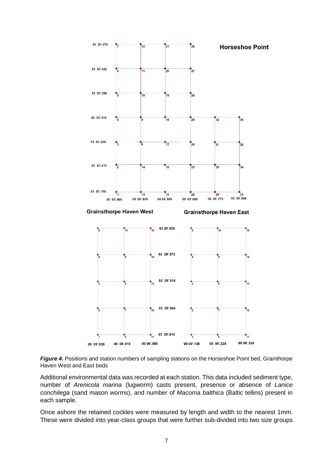

**Figure 4.** Positions and station numbers of sampling stations on the Horseshoe Point bed, Grainthorpe Haven West and East beds

Additional environmental data was recorded at each station. This data included sediment type, number of *Arenicola marina* (lugworm) casts present, presence or absence of *Lanice conchilega* (sand mason worms), and number of *Macoma balthica* (Baltic tellins) present in each sample.

Once ashore the retained cockles were measured by length and width to the nearest 1mm. These were divided into year-class groups that were further sub-divided into two size groups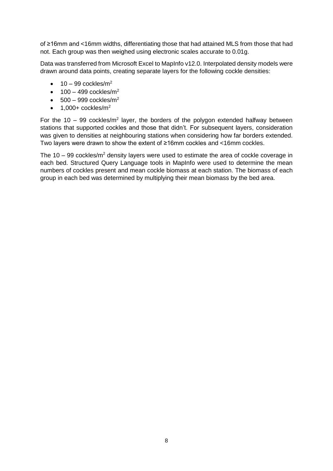of ≥16mm and <16mm widths, differentiating those that had attained MLS from those that had not. Each group was then weighed using electronic scales accurate to 0.01g.

Data was transferred from Microsoft Excel to MapInfo v12.0. Interpolated density models were drawn around data points, creating separate layers for the following cockle densities:

- $\bullet$  10 99 cockles/m<sup>2</sup>
- $\bullet$  100 499 cockles/m<sup>2</sup>
- $\bullet$  500 999 cockles/m<sup>2</sup>
- $\bullet$  1,000+ cockles/m<sup>2</sup>

For the  $10 - 99$  cockles/m<sup>2</sup> layer, the borders of the polygon extended halfway between stations that supported cockles and those that didn't. For subsequent layers, consideration was given to densities at neighbouring stations when considering how far borders extended. Two layers were drawn to show the extent of ≥16mm cockles and <16mm cockles.

The  $10 - 99$  cockles/ $m<sup>2</sup>$  density layers were used to estimate the area of cockle coverage in each bed. Structured Query Language tools in MapInfo were used to determine the mean numbers of cockles present and mean cockle biomass at each station. The biomass of each group in each bed was determined by multiplying their mean biomass by the bed area.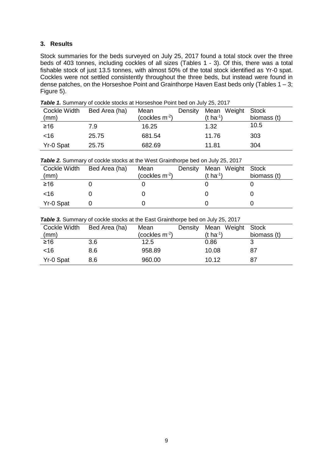### **3. Results**

Stock summaries for the beds surveyed on July 25, 2017 found a total stock over the three beds of 403 tonnes, including cockles of all sizes (Tables 1 - 3). Of this, there was a total fishable stock of just 13.5 tonnes, with almost 50% of the total stock identified as Yr-0 spat. Cockles were not settled consistently throughout the three beds, but instead were found in dense patches, on the Horseshoe Point and Grainthorpe Haven East beds only (Tables  $1 - 3$ ; Figure 5).

| Cockle Width<br>(mm) | Bed Area (ha) | Mean<br>(cockles $m^{-2}$ ) | Density | Mean Weight<br>(t ha <sup>-1</sup> ) | Stock<br>biomass (t) |
|----------------------|---------------|-----------------------------|---------|--------------------------------------|----------------------|
| ≥16                  | 7.9           | 16.25                       |         | 1.32                                 | 10.5                 |
| ~16                  | 25.75         | 681.54                      |         | 11.76                                | 303                  |
| Yr-0 Spat            | 25.75         | 682.69                      |         | 11.81                                | 304                  |

**Table 1.** Summary of cockle stocks at Horseshoe Point bed on July 25, 2017

|  | Table 2. Summary of cockle stocks at the West Grainthorpe bed on July 25, 2017 |  |
|--|--------------------------------------------------------------------------------|--|
|  |                                                                                |  |

| Cockle Width<br>(mm) | Bed Area (ha) | Mean<br>(cockles m $^{-2}$ ) | Density | Mean Weight Stock<br>(t ha <sup>-1</sup> ) | biomass (t) |
|----------------------|---------------|------------------------------|---------|--------------------------------------------|-------------|
| ≥16                  |               |                              |         |                                            |             |
| ~16                  |               |                              |         |                                            |             |
| Yr-0 Spat            |               |                              |         |                                            |             |

**Table 3.** Summary of cockle stocks at the East Grainthorpe bed on July 25, 2017

| Cockle Width | Bed Area (ha) | Mean             | Density | Mean Weight Stock     |             |
|--------------|---------------|------------------|---------|-----------------------|-------------|
| (mm)         |               | (cockles $m-2$ ) |         | $(t \text{ ha}^{-1})$ | biomass (t) |
| ≥16          | 3.6           | 12.5             |         | 0.86                  |             |
| ~16          | 8.6           | 958.89           |         | 10.08                 | 87          |
| Yr-0 Spat    | 8.6           | 960.00           |         | 10.12                 | 87          |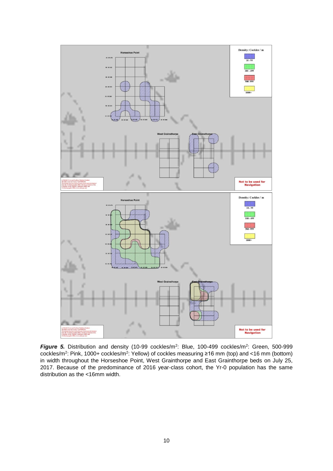

**Figure 5.** Distribution and density (10-99 cockles/m<sup>2</sup>: Blue, 100-499 cockles/m<sup>2</sup>: Green, 500-999 cockles/m<sup>2</sup>: Pink, 1000+ cockles/m<sup>2</sup>: Yellow) of cockles measuring ≥16 mm (top) and <16 mm (bottom) in width throughout the Horseshoe Point, West Grainthorpe and East Grainthorpe beds on July 25, 2017. Because of the predominance of 2016 year-class cohort, the Yr-0 population has the same distribution as the <16mm width.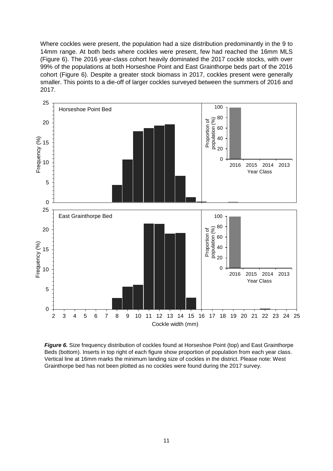Where cockles were present, the population had a size distribution predominantly in the 9 to 14mm range. At both beds where cockles were present, few had reached the 16mm MLS (Figure 6). The 2016 year-class cohort heavily dominated the 2017 cockle stocks, with over 99% of the populations at both Horseshoe Point and East Grainthorpe beds part of the 2016 cohort (Figure 6). Despite a greater stock biomass in 2017, cockles present were generally smaller. This points to a die-off of larger cockles surveyed between the summers of 2016 and 2017.



**Figure 6.** Size frequency distribution of cockles found at Horseshoe Point (top) and East Grainthorpe Beds (bottom). Inserts in top right of each figure show proportion of population from each year class. Vertical line at 16mm marks the minimum landing size of cockles in the district. Please note: West Grainthorpe bed has not been plotted as no cockles were found during the 2017 survey.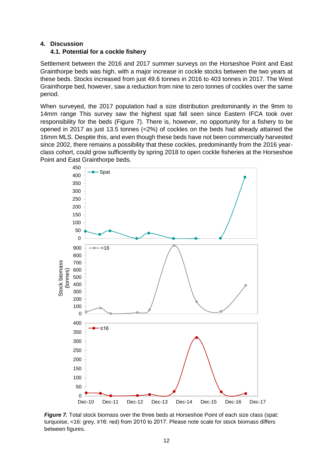#### **4. Discussion**

#### **4.1. Potential for a cockle fishery**

Settlement between the 2016 and 2017 summer surveys on the Horseshoe Point and East Grainthorpe beds was high, with a major increase in cockle stocks between the two years at these beds. Stocks increased from just 49.6 tonnes in 2016 to 403 tonnes in 2017. The West Grainthorpe bed, however, saw a reduction from nine to zero tonnes of cockles over the same period.

When surveyed, the 2017 population had a size distribution predominantly in the 9mm to 14mm range This survey saw the highest spat fall seen since Eastern IFCA took over responsibility for the beds (Figure 7). There is, however, no opportunity for a fishery to be opened in 2017 as just 13.5 tonnes (<2%) of cockles on the beds had already attained the 16mm MLS. Despite this, and even though these beds have not been commercially harvested since 2002, there remains a possibility that these cockles, predominantly from the 2016 yearclass cohort, could grow sufficiently by spring 2018 to open cockle fisheries at the Horseshoe Point and East Grainthorpe beds.



**Figure 7.** Total stock biomass over the three beds at Horseshoe Point of each size class (spat: turquoise, <16: grey, ≥16: red) from 2010 to 2017. Please note scale for stock biomass differs between figures.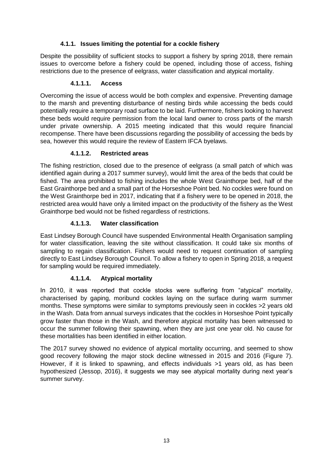# **4.1.1. Issues limiting the potential for a cockle fishery**

Despite the possibility of sufficient stocks to support a fishery by spring 2018, there remain issues to overcome before a fishery could be opened, including those of access, fishing restrictions due to the presence of eelgrass, water classification and atypical mortality.

## **4.1.1.1. Access**

Overcoming the issue of access would be both complex and expensive. Preventing damage to the marsh and preventing disturbance of nesting birds while accessing the beds could potentially require a temporary road surface to be laid. Furthermore, fishers looking to harvest these beds would require permission from the local land owner to cross parts of the marsh under private ownership. A 2015 meeting indicated that this would require financial recompense. There have been discussions regarding the possibility of accessing the beds by sea, however this would require the review of Eastern IFCA byelaws.

# **4.1.1.2. Restricted areas**

The fishing restriction, closed due to the presence of eelgrass (a small patch of which was identified again during a 2017 summer survey), would limit the area of the beds that could be fished. The area prohibited to fishing includes the whole West Grainthorpe bed, half of the East Grainthorpe bed and a small part of the Horseshoe Point bed. No cockles were found on the West Grainthorpe bed in 2017, indicating that if a fishery were to be opened in 2018, the restricted area would have only a limited impact on the productivity of the fishery as the West Grainthorpe bed would not be fished regardless of restrictions.

# **4.1.1.3. Water classification**

East Lindsey Borough Council have suspended Environmental Health Organisation sampling for water classification, leaving the site without classification. It could take six months of sampling to regain classification. Fishers would need to request continuation of sampling directly to East Lindsey Borough Council. To allow a fishery to open in Spring 2018, a request for sampling would be required immediately.

# **4.1.1.4. Atypical mortality**

In 2010, it was reported that cockle stocks were suffering from "atypical" mortality, characterised by gaping, moribund cockles laying on the surface during warm summer months. These symptoms were similar to symptoms previously seen in cockles >2 years old in the Wash. Data from annual surveys indicates that the cockles in Horseshoe Point typically grow faster than those in the Wash, and therefore atypical mortality has been witnessed to occur the summer following their spawning, when they are just one year old. No cause for these mortalities has been identified in either location.

The 2017 survey showed no evidence of atypical mortality occurring, and seemed to show good recovery following the major stock decline witnessed in 2015 and 2016 (Figure 7). However, if it is linked to spawning, and effects individuals >1 years old, as has been hypothesized (Jessop, 2016), it suggests we may see atypical mortality during next year's summer survey.